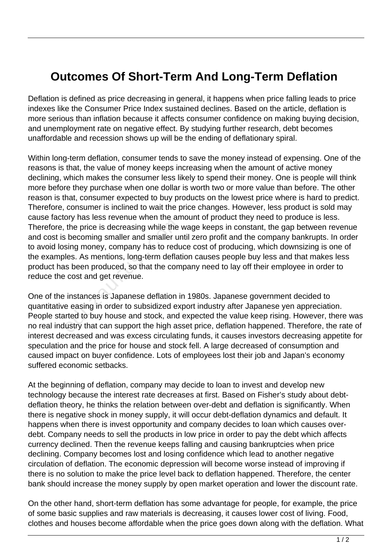## **Outcomes Of Short-Term And Long-Term Deflation**

Deflation is defined as price decreasing in general, it happens when price falling leads to price indexes like the Consumer Price Index sustained declines. Based on the article, deflation is more serious than inflation because it affects consumer confidence on making buying decision, and unemployment rate on negative effect. By studying further research, debt becomes unaffordable and recession shows up will be the ending of deflationary spiral.

Within long-term deflation, consumer tends to save the money instead of expensing. One of the reasons is that, the value of money keeps increasing when the amount of active money declining, which makes the consumer less likely to spend their money. One is people will think more before they purchase when one dollar is worth two or more value than before. The other reason is that, consumer expected to buy products on the lowest price where is hard to predict. Therefore, consumer is inclined to wait the price changes. However, less product is sold may cause factory has less revenue when the amount of product they need to produce is less. Therefore, the price is decreasing while the wage keeps in constant, the gap between revenue and cost is becoming smaller and smaller until zero profit and the company bankrupts. In order to avoid losing money, company has to reduce cost of producing, which downsizing is one of the examples. As mentions, long-term deflation causes people buy less and that makes less product has been produced, so that the company need to lay off their employee in order to reduce the cost and get revenue. the price is decreasing while the<br>is becoming smaller and smaller uresing money, company has to redu<br>les. As mentions, long-term deflat<br>is been produced, so that the com-<br>cost and get revenue.<br>instances is Japanese deflati

One of the instances is Japanese deflation in 1980s. Japanese government decided to quantitative easing in order to subsidized export industry after Japanese yen appreciation. People started to buy house and stock, and expected the value keep rising. However, there was no real industry that can support the high asset price, deflation happened. Therefore, the rate of interest decreased and was excess circulating funds, it causes investors decreasing appetite for speculation and the price for house and stock fell. A large decreased of consumption and caused impact on buyer confidence. Lots of employees lost their job and Japan's economy suffered economic setbacks.

At the beginning of deflation, company may decide to loan to invest and develop new technology because the interest rate decreases at first. Based on Fisher's study about debtdeflation theory, he thinks the relation between over-debt and deflation is significantly. When there is negative shock in money supply, it will occur debt-deflation dynamics and default. It happens when there is invest opportunity and company decides to loan which causes overdebt. Company needs to sell the products in low price in order to pay the debt which affects currency declined. Then the revenue keeps falling and causing bankruptcies when price declining. Company becomes lost and losing confidence which lead to another negative circulation of deflation. The economic depression will become worse instead of improving if there is no solution to make the price level back to deflation happened. Therefore, the center bank should increase the money supply by open market operation and lower the discount rate.

On the other hand, short-term deflation has some advantage for people, for example, the price of some basic supplies and raw materials is decreasing, it causes lower cost of living. Food, clothes and houses become affordable when the price goes down along with the deflation. What